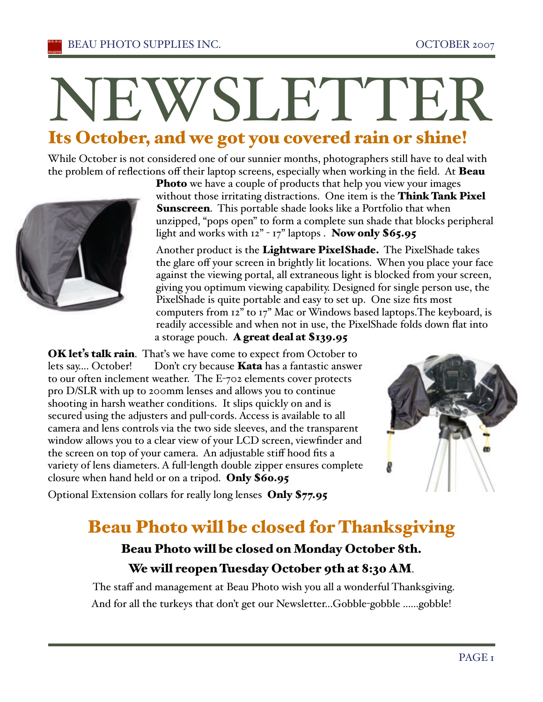# WSLETTE

# Its October, and we got you covered rain or shine!

While October is not considered one of our sunnier months, photographers still have to deal with the problem of reflections off their laptop screens, especially when working in the field. At **Beau** 



Photo we have a couple of products that help you view your images without those irritating distractions. One item is the Think Tank Pixel **Sunscreen.** This portable shade looks like a Portfolio that when unzipped, "pops open" to form a complete sun shade that blocks peripheral light and works with 12" - 17" laptops . Now only \$65.95

Another product is the Lightware PixelShade. The PixelShade takes the glare off your screen in brightly lit locations. When you place your face against the viewing portal, all extraneous light is blocked from your screen, giving you optimum viewing capability. Designed for single person use, the PixelShade is quite portable and easy to set up. One size fits most computers from 12" to 17" Mac or Windows based laptops.The keyboard, is readily accessible and when not in use, the PixelShade folds down flat into a storage pouch. A great deal at \$139.95

OK let's talk rain. That's we have come to expect from October to lets say.... October! Don't cry because **Kata** has a fantastic answer to our often inclement weather. The E-702 elements cover protects pro D/SLR with up to 200mm lenses and allows you to continue shooting in harsh weather conditions. It slips quickly on and is secured using the adjusters and pull-cords. Access is available to all camera and lens controls via the two side sleeves, and the transparent window allows you to a clear view of your LCD screen, viewfinder and the screen on top of your camera. An adjustable stiff hood fits a variety of lens diameters. A full-length double zipper ensures complete closure when hand held or on a tripod. Only \$60.95



Optional Extension collars for really long lenses Only \$77.95

# Beau Photo will be closed for Thanksgiving

## Beau Photo will be closed on Monday October 8th. We will reopen Tuesday October 9th at 8:30 AM.

 The staff and management at Beau Photo wish you all a wonderful Thanksgiving. And for all the turkeys that don't get our Newsletter...Gobble-gobble ......gobble!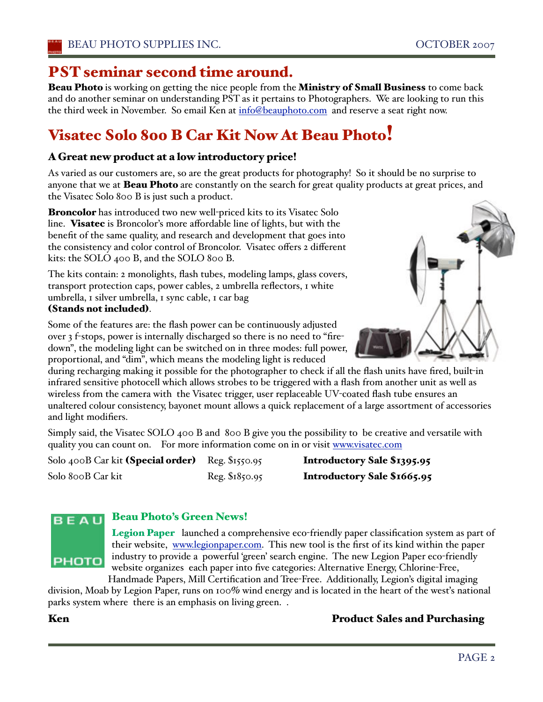## PST seminar second time around.

Beau Photo is working on getting the nice people from the Ministry of Small Business to come back and do another seminar on understanding PST as it pertains to Photographers. We are looking to run this the third week in November. So email Ken at info@beauphoto.com and reserve a seat right now.

# Visatec Solo 800 B Car Kit Now At Beau Photo!

#### A Great new product at a low introductory price!

As varied as our customers are, so are the great products for photography! So it should be no surprise to anyone that we at **Beau Photo** are constantly on the search for great quality products at great prices, and the Visatec Solo 800 B is just such a product.

**Broncolor** has introduced two new well-priced kits to its Visatec Solo line. Visatec is Broncolor's more affordable line of lights, but with the benefit of the same quality, and research and development that goes into the consistency and color control of Broncolor. Visatec offers 2 different kits: the SOLO 400 B, and the SOLO 800 B.

The kits contain: 2 monolights, flash tubes, modeling lamps, glass covers, transport protection caps, power cables, 2 umbrella reflectors, 1 white umbrella, 1 silver umbrella, 1 sync cable, 1 car bag (Stands not included).



Some of the features are: the flash power can be continuously adjusted over 3 f-stops, power is internally discharged so there is no need to "firedown", the modeling light can be switched on in three modes: full power, proportional, and "dim", which means the modeling light is reduced

during recharging making it possible for the photographer to check if all the flash units have fired, built-in infrared sensitive photocell which allows strobes to be triggered with a flash from another unit as well as wireless from the camera with the Visatec trigger, user replaceable UV-coated flash tube ensures an unaltered colour consistency, bayonet mount allows a quick replacement of a large assortment of accessories and light modifiers.

Simply said, the Visatec SOLO 400 B and 800 B give you the possibility to be creative and versatile with quality you can count on. For more information come on in or visit www.visatec.com

Solo 400B Car kit (Special order) Reg. \$1550.95 Introductory Sale \$1395.95 Solo 800B Car kit Reg. \$1850.95 **Introductory Sale \$1665.95** 

# BEAU

#### Beau Photo's Green News!

Legion Paper launched a comprehensive eco-friendly paper classification system as part of their website, www.legionpaper.com. This new tool is the first of its kind within the paper PHOTO industry to provide a powerful 'green' search engine. The new Legion Paper eco-friendly website organizes each paper into five categories: Alternative Energy, Chlorine-Free,

Handmade Papers, Mill Certification and Tree-Free. Additionally, Legion's digital imaging division, Moab by Legion Paper, runs on 100% wind energy and is located in the heart of the wesťs national parks system where there is an emphasis on living green. .

#### Ken Product Sales and Purchasing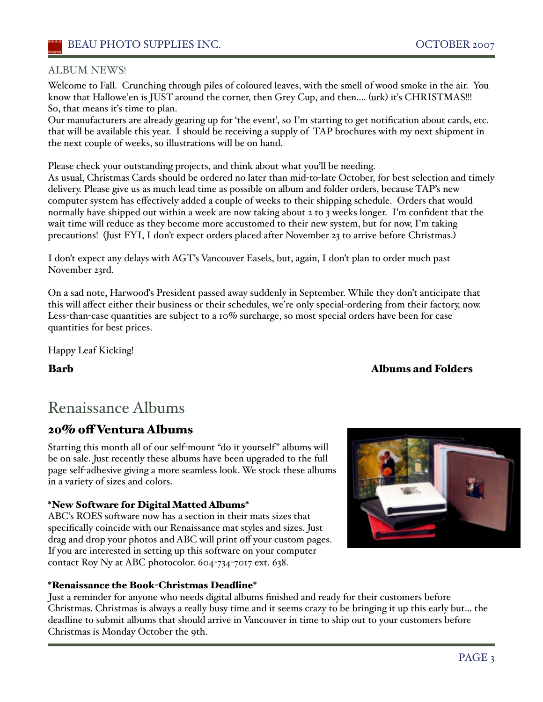#### ALBUM NEWS!

Welcome to Fall. Crunching through piles of coloured leaves, with the smell of wood smoke in the air. You know that Hallowe'en is JUST around the corner, then Grey Cup, and then.... (urk) it's CHRISTMAS!!! So, that means it's time to plan.

Our manufacturers are already gearing up for 'the evenť, so I'm starting to get notification about cards, etc. that will be available this year. I should be receiving a supply of TAP brochures with my next shipment in the next couple of weeks, so illustrations will be on hand.

Please check your outstanding projects, and think about what you'll be needing.

As usual, Christmas Cards should be ordered no later than mid-to-late October, for best selection and timely delivery. Please give us as much lead time as possible on album and folder orders, because TAP's new computer system has effectively added a couple of weeks to their shipping schedule. Orders that would normally have shipped out within a week are now taking about 2 to 3 weeks longer. I'm confident that the wait time will reduce as they become more accustomed to their new system, but for now, I'm taking precautions! (Just FYI, I don't expect orders placed after November 23 to arrive before Christmas.)

I don't expect any delays with AGT's Vancouver Easels, but, again, I don't plan to order much past November 23rd.

On a sad note, Harwooďs President passed away suddenly in September. While they don't anticipate that this will affect either their business or their schedules, we're only special-ordering from their factory, now. Less-than-case quantities are subject to a 10% surcharge, so most special orders have been for case quantities for best prices.

Happy Leaf Kicking!

#### Barb Albums and Folders

# Renaissance Albums

## 20% off Ventura Albums

Starting this month all of our self-mount "do it yourself" albums will be on sale. Just recently these albums have been upgraded to the full page self-adhesive giving a more seamless look. We stock these albums in a variety of sizes and colors.

#### \*New Software for Digital Matted Albums\*

ABC's ROES software now has a section in their mats sizes that specifically coincide with our Renaissance mat styles and sizes. Just drag and drop your photos and ABC will print off your custom pages. If you are interested in setting up this software on your computer contact Roy Ny at ABC photocolor. 604-734-7017 ext. 638.



Just a reminder for anyone who needs digital albums finished and ready for their customers before Christmas. Christmas is always a really busy time and it seems crazy to be bringing it up this early but... the deadline to submit albums that should arrive in Vancouver in time to ship out to your customers before Christmas is Monday October the 9th.

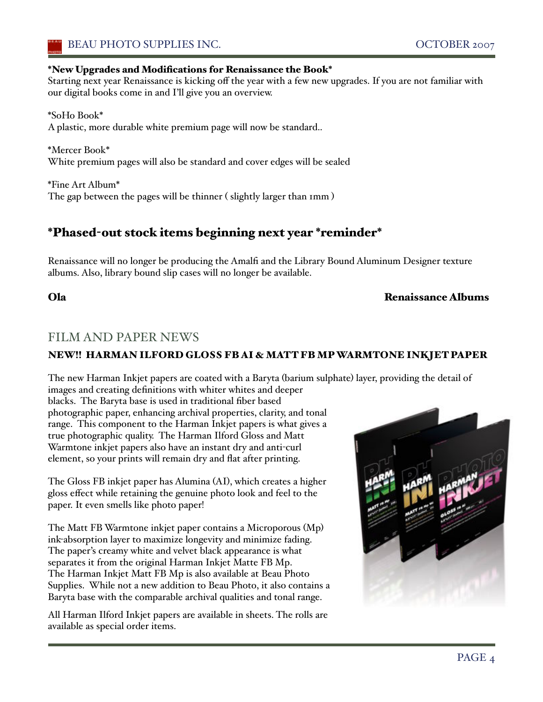#### \*New Upgrades and Modifications for Renaissance the Book\*

Starting next year Renaissance is kicking off the year with a few new upgrades. If you are not familiar with our digital books come in and I'll give you an overview.

\*SoHo Book\* A plastic, more durable white premium page will now be standard..

\*Mercer Book\* White premium pages will also be standard and cover edges will be sealed

\*Fine Art Album\* The gap between the pages will be thinner ( slightly larger than 1mm )

## \*Phased-out stock items beginning next year \*reminder\*

Renaissance will no longer be producing the Amalfi and the Library Bound Aluminum Designer texture albums. Also, library bound slip cases will no longer be available.

#### Ola Renaissance Albums

## FILM AND PAPER NEWS

#### NEW!! HARMAN ILFORD GLOSS FB AI & MATT FB MPWARMTONE INKJET PAPER

The new Harman Inkjet papers are coated with a Baryta (barium sulphate) layer, providing the detail of images and creating definitions with whiter whites and deeper

blacks. The Baryta base is used in traditional fiber based photographic paper, enhancing archival properties, clarity, and tonal range. This component to the Harman Inkjet papers is what gives a true photographic quality. The Harman Ilford Gloss and Matt Warmtone inkjet papers also have an instant dry and anti-curl element, so your prints will remain dry and flat after printing.

The Gloss FB inkjet paper has Alumina (AI), which creates a higher gloss effect while retaining the genuine photo look and feel to the paper. It even smells like photo paper!

The Matt FB Warmtone inkjet paper contains a Microporous (Mp) ink-absorption layer to maximize longevity and minimize fading. The paper's creamy white and velvet black appearance is what separates it from the original Harman Inkjet Matte FB Mp. The Harman Inkjet Matt FB Mp is also available at Beau Photo Supplies. While not a new addition to Beau Photo, it also contains a Baryta base with the comparable archival qualities and tonal range.

All Harman Ilford Inkjet papers are available in sheets. The rolls are available as special order items.

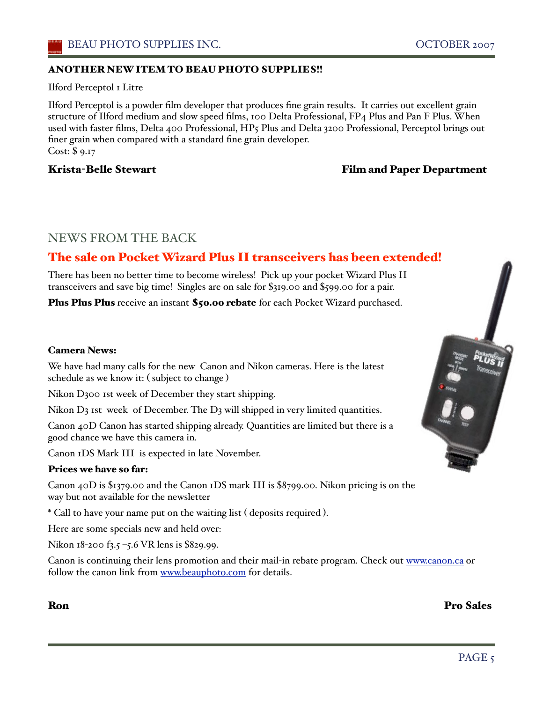#### ANOTHER NEW ITEM TO BEAU PHOTO SUPPLIES!!

Ilford Perceptol 1 Litre

Ilford Perceptol is a powder film developer that produces fine grain results. It carries out excellent grain structure of Ilford medium and slow speed films, 100 Delta Professional, FP4 Plus and Pan F Plus. When used with faster films, Delta 400 Professional, HP5 Plus and Delta 3200 Professional, Perceptol brings out finer grain when compared with a standard fine grain developer. Cost: \$ 9.17

#### Krista-Belle Stewart Film and Paper Department

### NEWS FROM THE BACK

## The sale on Pocket Wizard Plus II transceivers has been extended!

There has been no better time to become wireless! Pick up your pocket Wizard Plus II transceivers and save big time! Singles are on sale for \$319.00 and \$599.00 for a pair.

Plus Plus Plus receive an instant \$50.00 rebate for each Pocket Wizard purchased.

#### Camera News:

We have had many calls for the new Canon and Nikon cameras. Here is the latest schedule as we know it: ( subject to change )

Nikon D300 1st week of December they start shipping.

Nikon  $D_3$  ist week of December. The  $D_3$  will shipped in very limited quantities.

Canon 40D Canon has started shipping already. Quantities are limited but there is a good chance we have this camera in.

Canon 1DS Mark III is expected in late November.

#### Prices we have so far:

Canon 40D is \$1379.00 and the Canon 1DS mark III is \$8799.00. Nikon pricing is on the way but not available for the newsletter

\* Call to have your name put on the waiting list ( deposits required ).

Here are some specials new and held over:

Nikon 18-200 f3.5 –5.6 VR lens is \$829.99.

Canon is continuing their lens promotion and their mail-in rebate program. Check out www.canon.ca or follow the canon link from www.beauphoto.com for details.

Ron Pro Sales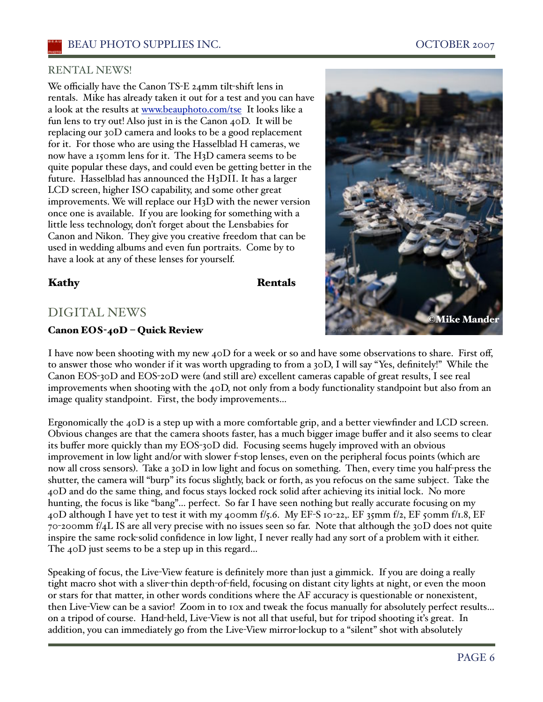#### RENTAL NEWS!

We officially have the Canon TS-E 24mm tilt-shift lens in rentals. Mike has already taken it out for a test and you can have a look at the results at www.beauphoto.com/tse It looks like a fun lens to try out! Also just in is the Canon 40D. It will be replacing our 30D camera and looks to be a good replacement for it. For those who are using the Hasselblad H cameras, we now have a 150mm lens for it. The H3D camera seems to be quite popular these days, and could even be getting better in the future. Hasselblad has announced the H3DII. It has a larger LCD screen, higher ISO capability, and some other great improvements. We will replace our H3D with the newer version once one is available. If you are looking for something with a little less technology, don't forget about the Lensbabies for Canon and Nikon. They give you creative freedom that can be used in wedding albums and even fun portraits. Come by to have a look at any of these lenses for yourself.

#### Kathy **Rentals**

### DIGITAL NEWS

#### Canon EOS-40D – Quick Review

I have now been shooting with my new 40D for a week or so and have some observations to share. First off, to answer those who wonder if it was worth upgrading to from a 30D, I will say "Yes, definitely!" While the Canon EOS-30D and EOS-20D were (and still are) excellent cameras capable of great results, I see real improvements when shooting with the 40D, not only from a body functionality standpoint but also from an image quality standpoint. First, the body improvements…

Ergonomically the 40D is a step up with a more comfortable grip, and a better viewfinder and LCD screen. Obvious changes are that the camera shoots faster, has a much bigger image buffer and it also seems to clear its buffer more quickly than my EOS-30D did. Focusing seems hugely improved with an obvious improvement in low light and/or with slower f-stop lenses, even on the peripheral focus points (which are now all cross sensors). Take a 30D in low light and focus on something. Then, every time you half-press the shutter, the camera will "burp" its focus slightly, back or forth, as you refocus on the same subject. Take the 40D and do the same thing, and focus stays locked rock solid after achieving its initial lock. No more hunting, the focus is like "bang"… perfect. So far I have seen nothing but really accurate focusing on my 40D although I have yet to test it with my 400mm f/5.6. My EF-S 10-22,. EF 35mm f/2, EF 50mm f/1.8, EF 70-200mm f/4L IS are all very precise with no issues seen so far. Note that although the 30D does not quite inspire the same rock-solid confidence in low light, I never really had any sort of a problem with it either. The 40D just seems to be a step up in this regard...

Speaking of focus, the Live-View feature is definitely more than just a gimmick. If you are doing a really tight macro shot with a sliver-thin depth-of-field, focusing on distant city lights at night, or even the moon or stars for that matter, in other words conditions where the AF accuracy is questionable or nonexistent, then Live-View can be a savior! Zoom in to 10x and tweak the focus manually for absolutely perfect results… on a tripod of course. Hand-held, Live-View is not all that useful, but for tripod shooting iťs great. In addition, you can immediately go from the Live-View mirror-lockup to a "silent" shot with absolutely

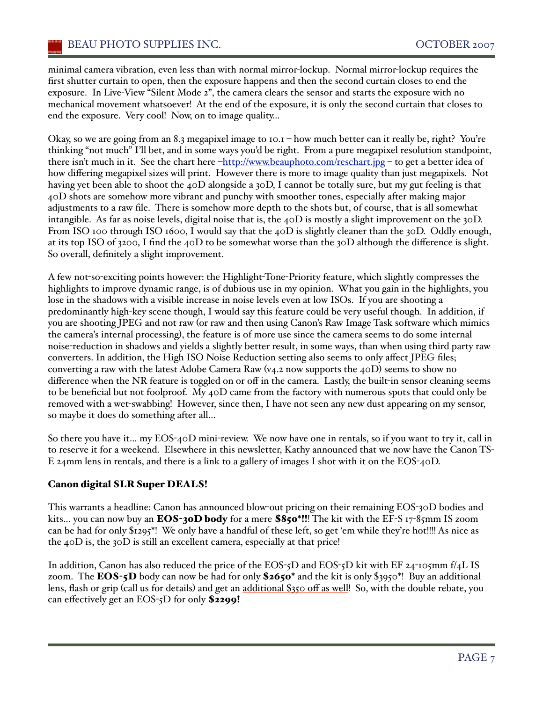minimal camera vibration, even less than with normal mirror-lockup. Normal mirror-lockup requires the first shutter curtain to open, then the exposure happens and then the second curtain closes to end the exposure. In Live-View "Silent Mode 2", the camera clears the sensor and starts the exposure with no mechanical movement whatsoever! At the end of the exposure, it is only the second curtain that closes to end the exposure. Very cool! Now, on to image quality…

Okay, so we are going from an 8.3 megapixel image to  $10.1 -$  how much better can it really be, right? You're thinking "not much" I'll bet, and in some ways you'd be right. From a pure megapixel resolution standpoint, there isn't much in it. See the chart here –http://www.beauphoto.com/reschart.jpg – to get a better idea of how differing megapixel sizes will print. However there is more to image quality than just megapixels. Not having yet been able to shoot the 40D alongside a 30D, I cannot be totally sure, but my gut feeling is that 40D shots are somehow more vibrant and punchy with smoother tones, especially after making major adjustments to a raw file. There is somehow more depth to the shots but, of course, that is all somewhat intangible. As far as noise levels, digital noise that is, the 40D is mostly a slight improvement on the 30D. From ISO 100 through ISO 1600, I would say that the 40D is slightly cleaner than the 30D. Oddly enough, at its top ISO of 3200, I find the 40D to be somewhat worse than the 30D although the difference is slight. So overall, definitely a slight improvement.

A few not-so-exciting points however: the Highlight-Tone-Priority feature, which slightly compresses the highlights to improve dynamic range, is of dubious use in my opinion. What you gain in the highlights, you lose in the shadows with a visible increase in noise levels even at low ISOs. If you are shooting a predominantly high-key scene though, I would say this feature could be very useful though. In addition, if you are shooting JPEG and not raw (or raw and then using Canon's Raw Image Task software which mimics the camera's internal processing), the feature is of more use since the camera seems to do some internal noise-reduction in shadows and yields a slightly better result, in some ways, than when using third party raw converters. In addition, the High ISO Noise Reduction setting also seems to only affect JPEG files; converting a raw with the latest Adobe Camera Raw (v4.2 now supports the 40D) seems to show no difference when the NR feature is toggled on or off in the camera. Lastly, the built-in sensor cleaning seems to be beneficial but not foolproof. My 40D came from the factory with numerous spots that could only be removed with a wet-swabbing! However, since then, I have not seen any new dust appearing on my sensor, so maybe it does do something after all…

So there you have it… my EOS-40D mini-review. We now have one in rentals, so if you want to try it, call in to reserve it for a weekend. Elsewhere in this newsletter, Kathy announced that we now have the Canon TS-E 24mm lens in rentals, and there is a link to a gallery of images I shot with it on the EOS-40D.

#### Canon digital SLR Super DEALS!

This warrants a headline: Canon has announced blow-out pricing on their remaining EOS-30D bodies and kits... you can now buy an EOS-30D body for a mere \$850\*!!! The kit with the EF-S 17-85mm IS zoom can be had for only \$1295\*! We only have a handful of these left, so get 'em while they're hot!!!! As nice as the  $40D$  is, the  $30D$  is still an excellent camera, especially at that price!

In addition, Canon has also reduced the price of the EOS-5D and EOS-5D kit with EF 24-105mm f/4L IS zoom. The **EOS-5D** body can now be had for only  $\$2650^*$  and the kit is only  $\$3950^*$ ! Buy an additional lens, flash or grip (call us for details) and get an additional \$350 off as well! So, with the double rebate, you can effectively get an EOS-5D for only \$2299!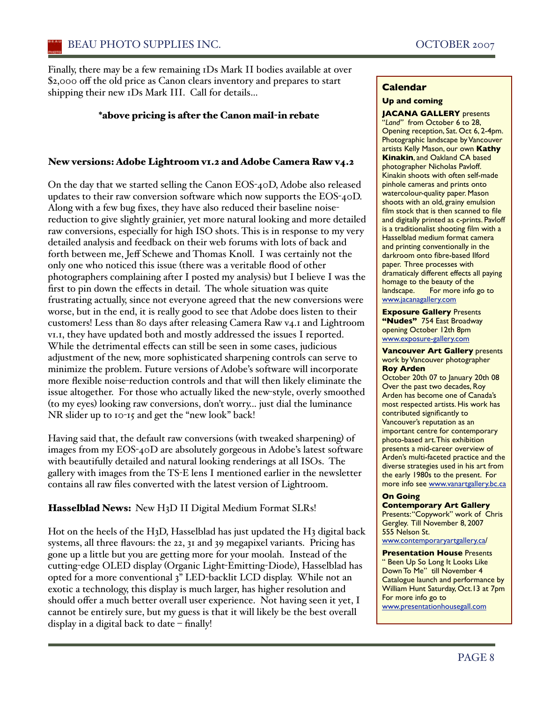Finally, there may be a few remaining 1Ds Mark II bodies available at over \$2,000 off the old price as Canon clears inventory and prepares to start shipping their new 1Ds Mark III. Call for details…

#### \*above pricing is after the Canon mail-in rebate

#### New versions: Adobe Lightroom v1.2 and Adobe Camera Raw v4.2

On the day that we started selling the Canon EOS-40D, Adobe also released updates to their raw conversion software which now supports the EOS-40D. Along with a few bug fixes, they have also reduced their baseline noisereduction to give slightly grainier, yet more natural looking and more detailed raw conversions, especially for high ISO shots. This is in response to my very detailed analysis and feedback on their web forums with lots of back and forth between me, Jeff Schewe and Thomas Knoll. I was certainly not the only one who noticed this issue (there was a veritable flood of other photographers complaining after I posted my analysis) but I believe I was the first to pin down the effects in detail. The whole situation was quite frustrating actually, since not everyone agreed that the new conversions were worse, but in the end, it is really good to see that Adobe does listen to their customers! Less than 80 days after releasing Camera Raw v4.1 and Lightroom v1.1, they have updated both and mostly addressed the issues I reported. While the detrimental effects can still be seen in some cases, judicious adjustment of the new, more sophisticated sharpening controls can serve to minimize the problem. Future versions of Adobe's software will incorporate more flexible noise-reduction controls and that will then likely eliminate the issue altogether. For those who actually liked the new-style, overly smoothed (to my eyes) looking raw conversions, don't worry… just dial the luminance NR slider up to 10-15 and get the "new look" back!

Having said that, the default raw conversions (with tweaked sharpening) of images from my EOS-40D are absolutely gorgeous in Adobe's latest software with beautifully detailed and natural looking renderings at all ISOs. The gallery with images from the TS-E lens I mentioned earlier in the newsletter contains all raw files converted with the latest version of Lightroom.

#### Hasselblad News: New H<sub>3</sub>D II Digital Medium Format SLRs!

Hot on the heels of the H3D, Hasselblad has just updated the H3 digital back systems, all three flavours: the 22, 31 and 39 megapixel variants. Pricing has gone up a little but you are getting more for your moolah. Instead of the cutting-edge OLED display (Organic Light-Emitting-Diode), Hasselblad has opted for a more conventional 3" LED-backlit LCD display. While not an exotic a technology, this display is much larger, has higher resolution and should offer a much better overall user experience. Not having seen it yet, I cannot be entirely sure, but my guess is that it will likely be the best overall display in a digital back to date – finally!

#### **Calendar**

#### **Up and coming**

**JACANA GALLERY** presents "*Land"*from October 6 to 28, Opening reception, Sat. Oct 6, 2-4pm. Photographic landscape by Vancouver artists Kelly Mason, our own **Kathy Kinakin**, and Oakland CA based photographer Nicholas Pavloff. Kinakin shoots with often self-made pinhole cameras and prints onto watercolour-quality paper. Mason shoots with an old, grainy emulsion film stock that is then scanned to file and digitally printed as c-prints. Pavloff is a traditionalist shooting film with a Hasselblad medium format camera and printing conventionally in the darkroom onto fibre-based Ilford paper. Three processes with dramaticaly different effects all paying homage to the beauty of the<br>landscape. For more info For more info go to www.jacanagallery.com

**Exposure Gallery** Presents **"Nudes"** 754 East Broadway opening October 12th 8pm www.exposure-gallery.com

**Vancouver Art Gallery** presents work by Vancouver photographer **Roy Arden**

October 20th 07 to January 20th 08 Over the past two decades, Roy Arden has become one of Canada's most respected artists. His work has contributed significantly to Vancouver's reputation as an important centre for contemporary photo-based art.This exhibition presents a mid-career overview of Arden's multi-faceted practice and the diverse strategies used in his art from the early 1980s to the present. For more info see www.vanartgallery.bc.ca

#### **On Going**

**Contemporary Art Gallery**  Presents:"Copywork" work of Chris Gergley. Till November 8, 2007 555 Nelson St. www.contemporaryartgallery.ca/

**Presentation House** Presents " Been Up So Long It Looks Like Down To Me" till November 4 Catalogue launch and performance by William Hunt Saturday, Oct.13 at 7pm For more info go to www.presentationhousegall.com